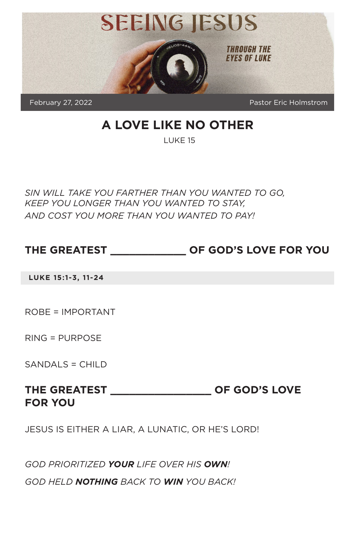

# **A LOVE LIKE NO OTHER**

LUKE 15

*SIN WILL TAKE YOU FARTHER THAN YOU WANTED TO GO, KEEP YOU LONGER THAN YOU WANTED TO STAY, AND COST YOU MORE THAN YOU WANTED TO PAY!*

### **THE GREATEST \_\_\_\_\_\_\_\_\_\_\_\_ OF GOD'S LOVE FOR YOU**

**LUKE 15:1-3, 11-24**

ROBE = IMPORTANT

RING = PURPOSE

SANDALS = CHILD

### **THE GREATEST \_\_\_\_\_\_\_\_\_\_\_\_\_\_\_\_ OF GOD'S LOVE FOR YOU**

JESUS IS EITHER A LIAR, A LUNATIC, OR HE'S LORD!

*GOD PRIORITIZED YOUR LIFE OVER HIS OWN!*

*GOD HELD NOTHING BACK TO WIN YOU BACK!*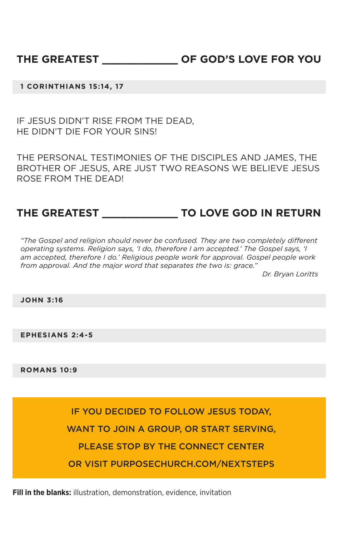#### **1 CORINTHIANS 15:14, 17**

IF JESUS DIDN'T RISE FROM THE DEAD, HE DIDN'T DIE FOR YOUR SINS!

THE PERSONAL TESTIMONIES OF THE DISCIPLES AND JAMES, THE BROTHER OF JESUS, ARE JUST TWO REASONS WE BELIEVE JESUS ROSE FROM THE DEAD!

# **THE GREATEST \_\_\_\_\_\_\_\_\_\_\_\_ TO LOVE GOD IN RETURN**

*"The Gospel and religion should never be confused. They are two completely different operating systems. Religion says, 'I do, therefore I am accepted.' The Gospel says, 'I am accepted, therefore I do.' Religious people work for approval. Gospel people work from approval. And the major word that separates the two is: grace."*

*Dr. Bryan Loritts*

**JOHN 3:16**

**EPHESIANS 2:4-5**

**ROMANS 10:9**

IF YOU DECIDED TO FOLLOW JESUS TODAY, WANT TO JOIN A GROUP, OR START SERVING, PLEASE STOP BY THE CONNECT CENTER OR VISIT PURPOSECHURCH.COM/NEXTSTEPS

**Fill in the blanks:** illustration, demonstration, evidence, invitation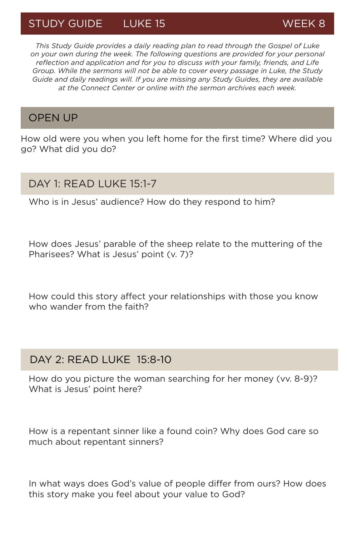# STUDY GUIDE LUKE 15 WEEK 8

*This Study Guide provides a daily reading plan to read through the Gospel of Luke on your own during the week. The following questions are provided for your personal reflection and application and for you to discuss with your family, friends, and Life Group. While the sermons will not be able to cover every passage in Luke, the Study Guide and daily readings will. If you are missing any Study Guides, they are available at the Connect Center or online with the sermon archives each week.*

#### OPEN UP

How old were you when you left home for the first time? Where did you go? What did you do?

#### DAY 1: READ LUKE 15:1-7

Who is in Jesus' audience? How do they respond to him?

How does Jesus' parable of the sheep relate to the muttering of the Pharisees? What is Jesus' point (v. 7)?

How could this story affect your relationships with those you know who wander from the faith?

### DAY 2: READ LUKE 15:8-10

How do you picture the woman searching for her money (vv. 8-9)? What is Jesus' point here?

How is a repentant sinner like a found coin? Why does God care so much about repentant sinners?

In what ways does God's value of people differ from ours? How does this story make you feel about your value to God?